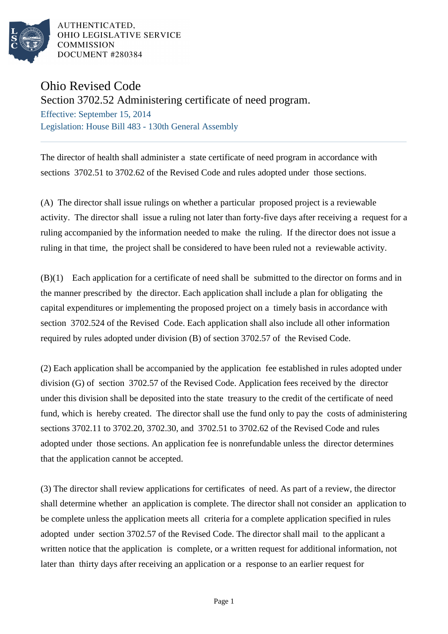

AUTHENTICATED. OHIO LEGISLATIVE SERVICE **COMMISSION** DOCUMENT #280384

## Ohio Revised Code

Section 3702.52 Administering certificate of need program.

Effective: September 15, 2014 Legislation: House Bill 483 - 130th General Assembly

The director of health shall administer a state certificate of need program in accordance with sections 3702.51 to 3702.62 of the Revised Code and rules adopted under those sections.

(A) The director shall issue rulings on whether a particular proposed project is a reviewable activity. The director shall issue a ruling not later than forty-five days after receiving a request for a ruling accompanied by the information needed to make the ruling. If the director does not issue a ruling in that time, the project shall be considered to have been ruled not a reviewable activity.

(B)(1) Each application for a certificate of need shall be submitted to the director on forms and in the manner prescribed by the director. Each application shall include a plan for obligating the capital expenditures or implementing the proposed project on a timely basis in accordance with section 3702.524 of the Revised Code. Each application shall also include all other information required by rules adopted under division (B) of section 3702.57 of the Revised Code.

(2) Each application shall be accompanied by the application fee established in rules adopted under division (G) of section 3702.57 of the Revised Code. Application fees received by the director under this division shall be deposited into the state treasury to the credit of the certificate of need fund, which is hereby created. The director shall use the fund only to pay the costs of administering sections 3702.11 to 3702.20, 3702.30, and 3702.51 to 3702.62 of the Revised Code and rules adopted under those sections. An application fee is nonrefundable unless the director determines that the application cannot be accepted.

(3) The director shall review applications for certificates of need. As part of a review, the director shall determine whether an application is complete. The director shall not consider an application to be complete unless the application meets all criteria for a complete application specified in rules adopted under section 3702.57 of the Revised Code. The director shall mail to the applicant a written notice that the application is complete, or a written request for additional information, not later than thirty days after receiving an application or a response to an earlier request for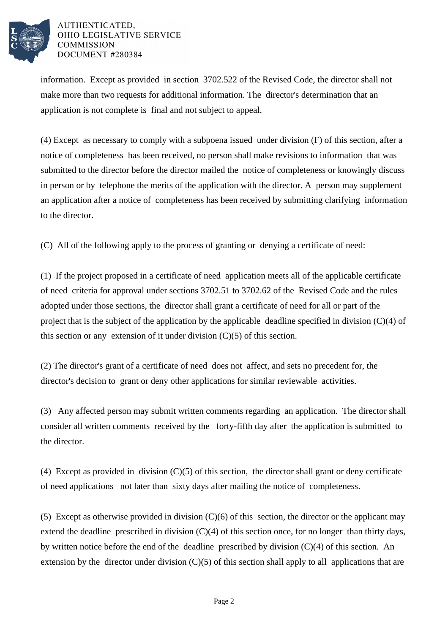

## AUTHENTICATED. OHIO LEGISLATIVE SERVICE **COMMISSION** DOCUMENT #280384

information. Except as provided in section 3702.522 of the Revised Code, the director shall not make more than two requests for additional information. The director's determination that an application is not complete is final and not subject to appeal.

(4) Except as necessary to comply with a subpoena issued under division (F) of this section, after a notice of completeness has been received, no person shall make revisions to information that was submitted to the director before the director mailed the notice of completeness or knowingly discuss in person or by telephone the merits of the application with the director. A person may supplement an application after a notice of completeness has been received by submitting clarifying information to the director.

(C) All of the following apply to the process of granting or denying a certificate of need:

(1) If the project proposed in a certificate of need application meets all of the applicable certificate of need criteria for approval under sections 3702.51 to 3702.62 of the Revised Code and the rules adopted under those sections, the director shall grant a certificate of need for all or part of the project that is the subject of the application by the applicable deadline specified in division  $(C)(4)$  of this section or any extension of it under division  $(C)(5)$  of this section.

(2) The director's grant of a certificate of need does not affect, and sets no precedent for, the director's decision to grant or deny other applications for similar reviewable activities.

(3) Any affected person may submit written comments regarding an application. The director shall consider all written comments received by the forty-fifth day after the application is submitted to the director.

(4) Except as provided in division (C)(5) of this section, the director shall grant or deny certificate of need applications not later than sixty days after mailing the notice of completeness.

(5) Except as otherwise provided in division (C)(6) of this section, the director or the applicant may extend the deadline prescribed in division  $(C)(4)$  of this section once, for no longer than thirty days, by written notice before the end of the deadline prescribed by division (C)(4) of this section. An extension by the director under division  $(C)(5)$  of this section shall apply to all applications that are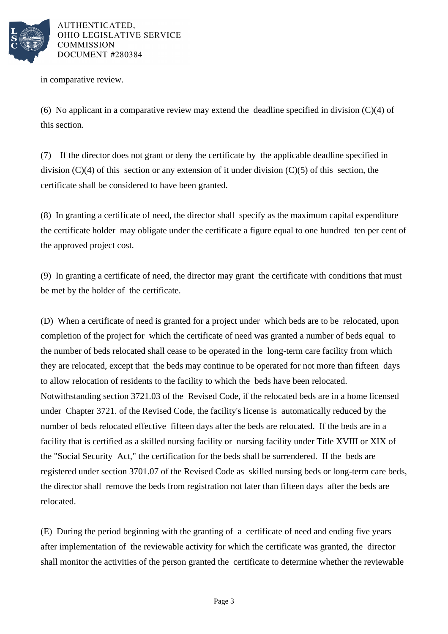

AUTHENTICATED, OHIO LEGISLATIVE SERVICE **COMMISSION** DOCUMENT #280384

in comparative review.

(6) No applicant in a comparative review may extend the deadline specified in division  $(C)(4)$  of this section.

(7) If the director does not grant or deny the certificate by the applicable deadline specified in division  $(C)(4)$  of this section or any extension of it under division  $(C)(5)$  of this section, the certificate shall be considered to have been granted.

(8) In granting a certificate of need, the director shall specify as the maximum capital expenditure the certificate holder may obligate under the certificate a figure equal to one hundred ten per cent of the approved project cost.

(9) In granting a certificate of need, the director may grant the certificate with conditions that must be met by the holder of the certificate.

(D) When a certificate of need is granted for a project under which beds are to be relocated, upon completion of the project for which the certificate of need was granted a number of beds equal to the number of beds relocated shall cease to be operated in the long-term care facility from which they are relocated, except that the beds may continue to be operated for not more than fifteen days to allow relocation of residents to the facility to which the beds have been relocated. Notwithstanding section 3721.03 of the Revised Code, if the relocated beds are in a home licensed under Chapter 3721. of the Revised Code, the facility's license is automatically reduced by the number of beds relocated effective fifteen days after the beds are relocated. If the beds are in a facility that is certified as a skilled nursing facility or nursing facility under Title XVIII or XIX of the "Social Security Act," the certification for the beds shall be surrendered. If the beds are registered under section 3701.07 of the Revised Code as skilled nursing beds or long-term care beds, the director shall remove the beds from registration not later than fifteen days after the beds are relocated.

(E) During the period beginning with the granting of a certificate of need and ending five years after implementation of the reviewable activity for which the certificate was granted, the director shall monitor the activities of the person granted the certificate to determine whether the reviewable